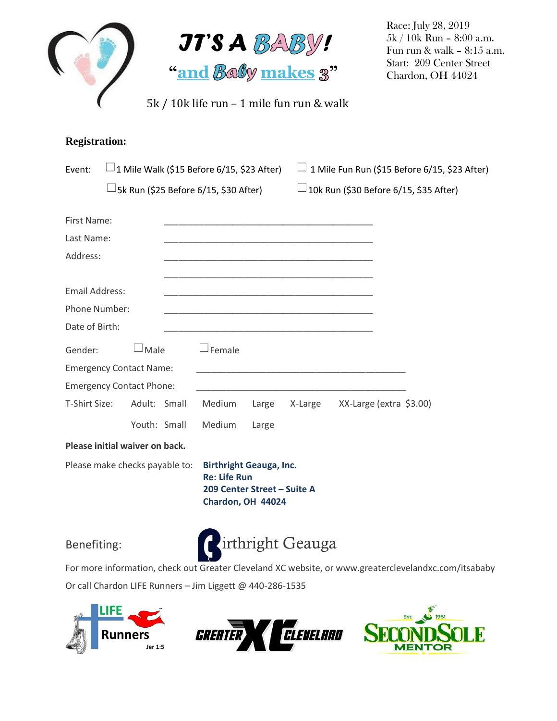



Race: July 28, 2019 5k / 10k Run – 8:00 a.m. Fun run & walk – 8:15 a.m. Start: 209 Center Street Chardon, OH 44024

## **Registration:**

| Event:                          | $\perp$ 1 Mile Walk (\$15 Before 6/15, \$23 After)<br>$\Box$ 5k Run (\$25 Before 6/15, \$30 After) |                                                                                                           |        |       | 1 Mile Fun Run (\$15 Before 6/15, \$23 After)<br>$\Box$ 10k Run (\$30 Before 6/15, \$35 After) |                         |  |
|---------------------------------|----------------------------------------------------------------------------------------------------|-----------------------------------------------------------------------------------------------------------|--------|-------|------------------------------------------------------------------------------------------------|-------------------------|--|
|                                 |                                                                                                    |                                                                                                           |        |       |                                                                                                |                         |  |
| First Name:                     |                                                                                                    |                                                                                                           |        |       |                                                                                                |                         |  |
| Last Name:                      |                                                                                                    |                                                                                                           |        |       |                                                                                                |                         |  |
| Address:                        |                                                                                                    |                                                                                                           |        |       |                                                                                                |                         |  |
|                                 |                                                                                                    |                                                                                                           |        |       |                                                                                                |                         |  |
| <b>Email Address:</b>           |                                                                                                    |                                                                                                           |        |       |                                                                                                |                         |  |
| Phone Number:                   |                                                                                                    |                                                                                                           |        |       |                                                                                                |                         |  |
| Date of Birth:                  |                                                                                                    |                                                                                                           |        |       |                                                                                                |                         |  |
| Gender:                         | $\lrcorner$ Male                                                                                   |                                                                                                           | Female |       |                                                                                                |                         |  |
|                                 | <b>Emergency Contact Name:</b>                                                                     |                                                                                                           |        |       |                                                                                                |                         |  |
| <b>Emergency Contact Phone:</b> |                                                                                                    |                                                                                                           |        |       |                                                                                                |                         |  |
| T-Shirt Size:                   | Adult: Small                                                                                       |                                                                                                           | Medium | Large | X-Large                                                                                        | XX-Large (extra \$3.00) |  |
|                                 | Youth: Small                                                                                       |                                                                                                           | Medium | Large |                                                                                                |                         |  |
| Please initial waiver on back.  |                                                                                                    |                                                                                                           |        |       |                                                                                                |                         |  |
| Please make checks payable to:  |                                                                                                    | <b>Birthright Geauga, Inc.</b><br><b>Re: Life Run</b><br>209 Center Street - Suite A<br>Chardon, OH 44024 |        |       |                                                                                                |                         |  |



For more information, check out Greater Cleveland XC website, or www.greaterclevelandxc.com/itsababy Or call Chardon LIFE Runners – Jim Liggett @ 440-286-1535